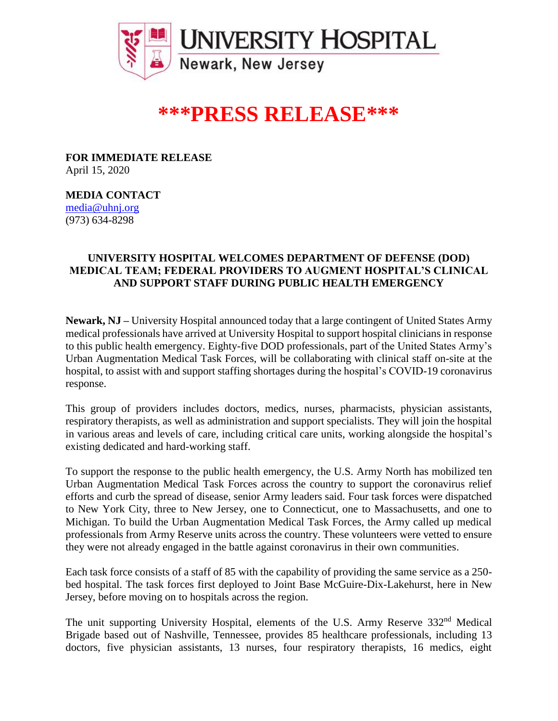

## **\*\*\*PRESS RELEASE\*\*\***

**FOR IMMEDIATE RELEASE** April 15, 2020

**MEDIA CONTACT** media@uhnj.org (973) 634-8298

## **UNIVERSITY HOSPITAL WELCOMES DEPARTMENT OF DEFENSE (DOD) MEDICAL TEAM; FEDERAL PROVIDERS TO AUGMENT HOSPITAL'S CLINICAL AND SUPPORT STAFF DURING PUBLIC HEALTH EMERGENCY**

**Newark, NJ –** University Hospital announced today that a large contingent of United States Army medical professionals have arrived at University Hospital to support hospital clinicians in response to this public health emergency. Eighty-five DOD professionals, part of the United States Army's Urban Augmentation Medical Task Forces, will be collaborating with clinical staff on-site at the hospital, to assist with and support staffing shortages during the hospital's COVID-19 coronavirus response.

This group of providers includes doctors, medics, nurses, pharmacists, physician assistants, respiratory therapists, as well as administration and support specialists. They will join the hospital in various areas and levels of care, including critical care units, working alongside the hospital's existing dedicated and hard-working staff.

To support the response to the public health emergency, the U.S. Army North has mobilized ten Urban Augmentation Medical Task Forces across the country to support the coronavirus relief efforts and curb the spread of disease, senior Army leaders said. Four task forces were dispatched to New York City, three to New Jersey, one to Connecticut, one to Massachusetts, and one to Michigan. To build the Urban Augmentation Medical Task Forces, the Army called up medical professionals from Army Reserve units across the country. These volunteers were vetted to ensure they were not already engaged in the battle against coronavirus in their own communities.

Each task force consists of a staff of 85 with the capability of providing the same service as a 250 bed hospital. The task forces first deployed to Joint Base McGuire-Dix-Lakehurst, here in New Jersey, before moving on to hospitals across the region.

The unit supporting University Hospital, elements of the U.S. Army Reserve 332<sup>nd</sup> Medical Brigade based out of Nashville, Tennessee, provides 85 healthcare professionals, including 13 doctors, five physician assistants, 13 nurses, four respiratory therapists, 16 medics, eight